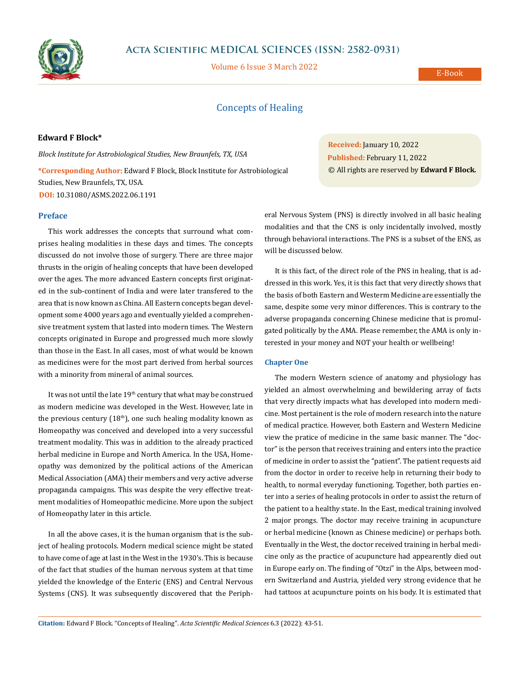

# **Acta Scientific MEDICAL SCIENCES (ISSN: 2582-0931)**

Volume 6 Issue 3 March 2022

E-Book

# Concepts of Healing

# **Edward F Block\***

*Block Institute for Astrobiological Studies, New Braunfels, TX, USA* **\*Corresponding Author:** Edward F Block, Block Institute for Astrobiological Studies, New Braunfels, TX, USA. **DOI:** [10.31080/ASMS.2022.06.1191](https://actascientific.com/ASMS/pdf/ASMS-06-1191.pdf)

## **Preface**

This work addresses the concepts that surround what comprises healing modalities in these days and times. The concepts discussed do not involve those of surgery. There are three major thrusts in the origin of healing concepts that have been developed over the ages. The more advanced Eastern concepts first originated in the sub-continent of India and were later transfered to the area that is now known as China. All Eastern concepts began development some 4000 years ago and eventually yielded a comprehensive treatment system that lasted into modern times. The Western concepts originated in Europe and progressed much more slowly than those in the East. In all cases, most of what would be known as medicines were for the most part derived from herbal sources with a minority from mineral of animal sources.

It was not until the late  $19<sup>th</sup>$  century that what may be construed as modern medicine was developed in the West. However, late in the previous century  $(18<sup>th</sup>)$ , one such healing modality known as Homeopathy was conceived and developed into a very successful treatment modality. This was in addition to the already practiced herbal medicine in Europe and North America. In the USA, Homeopathy was demonized by the political actions of the American Medical Association (AMA) their members and very active adverse propaganda campaigns. This was despite the very effective treatment modalities of Homeopathic medicine. More upon the subject of Homeopathy later in this article.

In all the above cases, it is the human organism that is the subject of healing protocols. Modern medical science might be stated to have come of age at last in the West in the 1930's. This is because of the fact that studies of the human nervous system at that time yielded the knowledge of the Enteric (ENS) and Central Nervous Systems (CNS). It was subsequently discovered that the Periph**Received:** January 10, 2022 **Published:** February 11, 2022 © All rights are reserved by **Edward F Block***.*

eral Nervous System (PNS) is directly involved in all basic healing modalities and that the CNS is only incidentally involved, mostly through behavioral interactions. The PNS is a subset of the ENS, as will be discussed below.

It is this fact, of the direct role of the PNS in healing, that is addressed in this work. Yes, it is this fact that very directly shows that the basis of both Eastern and Westerm Medicine are essentially the same, despite some very minor differences. This is contrary to the adverse propaganda concerning Chinese medicine that is promulgated politically by the AMA. Please remember, the AMA is only interested in your money and NOT your health or wellbeing!

# **Chapter One**

The modern Western science of anatomy and physiology has yielded an almost overwhelming and bewildering array of facts that very directly impacts what has developed into modern medicine. Most pertainent is the role of modern research into the nature of medical practice. However, both Eastern and Western Medicine view the pratice of medicine in the same basic manner. The "doctor" is the person that receives training and enters into the practice of medicine in order to assist the "patient". The patient requests aid from the doctor in order to receive help in returning their body to health, to normal everyday functioning. Together, both parties enter into a series of healing protocols in order to assist the return of the patient to a healthy state. In the East, medical training involved 2 major prongs. The doctor may receive training in acupuncture or herbal medicine (known as Chinese medicine) or perhaps both. Eventually in the West, the doctor received training in herbal medicine only as the practice of acupuncture had appearently died out in Europe early on. The finding of "Otzi" in the Alps, between modern Switzerland and Austria, yielded very strong evidence that he had tattoos at acupuncture points on his body. It is estimated that

**Citation:** Edward F Block*.* "Concepts of Healing". *Acta Scientific Medical Sciences* 6.3 (2022): 43-51.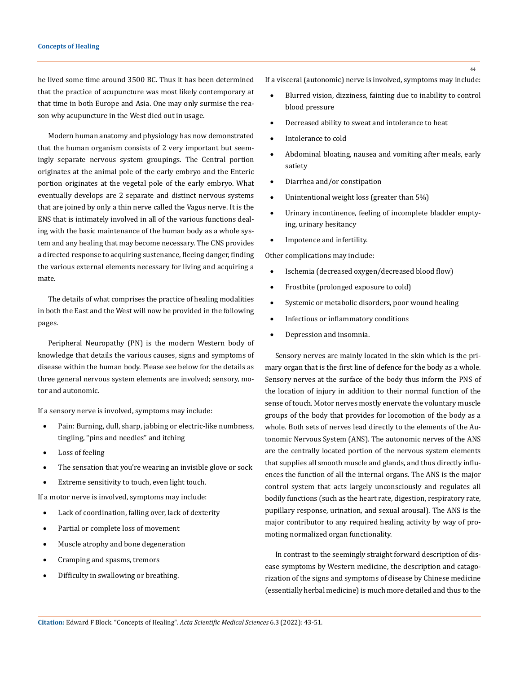#### **Concepts of Healing**

he lived some time around 3500 BC. Thus it has been determined that the practice of acupuncture was most likely contemporary at that time in both Europe and Asia. One may only surmise the reason why acupuncture in the West died out in usage.

Modern human anatomy and physiology has now demonstrated that the human organism consists of 2 very important but seemingly separate nervous system groupings. The Central portion originates at the animal pole of the early embryo and the Enteric portion originates at the vegetal pole of the early embryo. What eventually develops are 2 separate and distinct nervous systems that are joined by only a thin nerve called the Vagus nerve. It is the ENS that is intimately involved in all of the various functions dealing with the basic maintenance of the human body as a whole system and any healing that may become necessary. The CNS provides a directed response to acquiring sustenance, fleeing danger, finding the various external elements necessary for living and acquiring a mate.

The details of what comprises the practice of healing modalities in both the East and the West will now be provided in the following pages.

Peripheral Neuropathy (PN) is the modern Western body of knowledge that details the various causes, signs and symptoms of disease within the human body. Please see below for the details as three general nervous system elements are involved; sensory, motor and autonomic.

If a sensory nerve is involved, symptoms may include:

- Pain: Burning, dull, sharp, jabbing or electric-like numbness, tingling, "pins and needles" and itching
- Loss of feeling
- The sensation that you're wearing an invisible glove or sock
- • Extreme sensitivity to touch, even light touch.

If a motor nerve is involved, symptoms may include:

- Lack of coordination, falling over, lack of dexterity
- Partial or complete loss of movement
- Muscle atrophy and bone degeneration
- Cramping and spasms, tremors
- Difficulty in swallowing or breathing.

If a visceral (autonomic) nerve is involved, symptoms may include:

- Blurred vision, dizziness, fainting due to inability to control blood pressure
- Decreased ability to sweat and intolerance to heat
- Intolerance to cold
- Abdominal bloating, nausea and vomiting after meals, early satiety
- Diarrhea and/or constipation
- Unintentional weight loss (greater than 5%)
- Urinary incontinence, feeling of incomplete bladder emptying, urinary hesitancy
- • Impotence and infertility.

Other complications may include:

- Ischemia (decreased oxygen/decreased blood flow)
- Frostbite (prolonged exposure to cold)
- Systemic or metabolic disorders, poor wound healing
- Infectious or inflammatory conditions
- Depression and insomnia.

Sensory nerves are mainly located in the skin which is the primary organ that is the first line of defence for the body as a whole. Sensory nerves at the surface of the body thus inform the PNS of the location of injury in addition to their normal function of the sense of touch. Motor nerves mostly enervate the voluntary muscle groups of the body that provides for locomotion of the body as a whole. Both sets of nerves lead directly to the elements of the Autonomic Nervous System (ANS). The autonomic nerves of the ANS are the centrally located portion of the nervous system elements that supplies all smooth muscle and glands, and thus directly influences the function of all the internal organs. The ANS is the major control system that acts largely unconsciously and regulates all bodily functions (such as the heart rate, digestion, respiratory rate, pupillary response, urination, and sexual arousal). The ANS is the major contributor to any required healing activity by way of promoting normalized organ functionality.

In contrast to the seemingly straight forward description of disease symptoms by Western medicine, the description and catagorization of the signs and symptoms of disease by Chinese medicine (essentially herbal medicine) is much more detailed and thus to the

**Citation:** Edward F Block*.* "Concepts of Healing". *Acta Scientific Medical Sciences* 6.3 (2022): 43-51.

44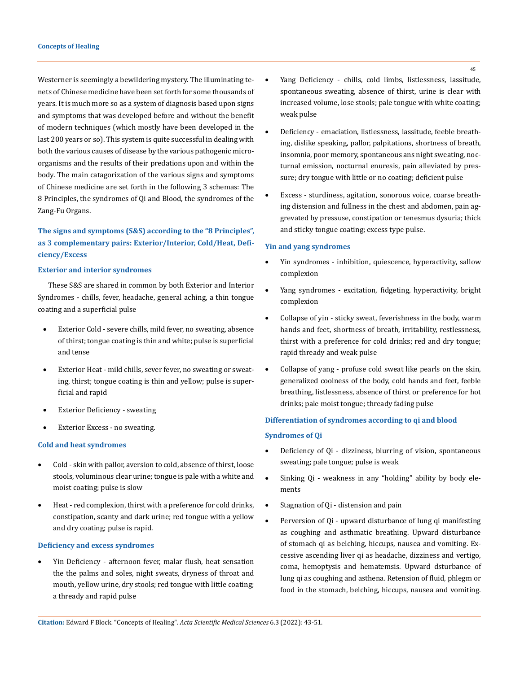Westerner is seemingly a bewildering mystery. The illuminating tenets of Chinese medicine have been set forth for some thousands of years. It is much more so as a system of diagnosis based upon signs and symptoms that was developed before and without the benefit of modern techniques (which mostly have been developed in the last 200 years or so). This system is quite successful in dealing with both the various causes of disease by the various pathogenic microorganisms and the results of their predations upon and within the body. The main catagorization of the various signs and symptoms of Chinese medicine are set forth in the following 3 schemas: The 8 Principles, the syndromes of Qi and Blood, the syndromes of the Zang-Fu Organs.

# **The signs and symptoms (S&S) according to the "8 Principles", as 3 complementary pairs: Exterior/Interior, Cold/Heat, Deficiency/Excess**

## **Exterior and interior syndromes**

These S&S are shared in common by both Exterior and Interior Syndromes - chills, fever, headache, general aching, a thin tongue coating and a superficial pulse

- Exterior Cold severe chills, mild fever, no sweating, absence of thirst; tongue coating is thin and white; pulse is superficial and tense
- Exterior Heat mild chills, sever fever, no sweating or sweating, thirst; tongue coating is thin and yellow; pulse is superficial and rapid
- **Exterior Deficiency sweating**
- Exterior Excess no sweating.

## **Cold and heat syndromes**

- Cold skin with pallor, aversion to cold, absence of thirst, loose stools, voluminous clear urine; tongue is pale with a white and moist coating; pulse is slow
- Heat red complexion, thirst with a preference for cold drinks, constipation, scanty and dark urine; red tongue with a yellow and dry coating; pulse is rapid.

# **Deficiency and excess syndromes**

Yin Deficiency - afternoon fever, malar flush, heat sensation the the palms and soles, night sweats, dryness of throat and mouth, yellow urine, dry stools; red tongue with little coating; a thready and rapid pulse

- Yang Deficiency chills, cold limbs, listlessness, lassitude, spontaneous sweating, absence of thirst, urine is clear with increased volume, lose stools; pale tongue with white coating; weak pulse
- Deficiency emaciation, listlessness, lassitude, feeble breathing, dislike speaking, pallor, palpitations, shortness of breath, insomnia, poor memory, spontaneous ans night sweating, nocturnal emission, nocturnal enuresis, pain alleviated by pressure; dry tongue with little or no coating; deficient pulse
- Excess sturdiness, agitation, sonorous voice, coarse breathing distension and fullness in the chest and abdomen, pain aggrevated by pressuse, constipation or tenesmus dysuria; thick and sticky tongue coating; excess type pulse.

### **Yin and yang syndromes**

- Yin syndromes inhibition, quiescence, hyperactivity, sallow complexion
- Yang syndromes excitation, fidgeting, hyperactivity, bright complexion
- • Collapse of yin sticky sweat, feverishness in the body, warm hands and feet, shortness of breath, irritability, restlessness, thirst with a preference for cold drinks; red and dry tongue; rapid thready and weak pulse
- Collapse of yang profuse cold sweat like pearls on the skin, generalized coolness of the body, cold hands and feet, feeble breathing, listlessness, absence of thirst or preference for hot drinks; pale moist tongue; thready fading pulse

# **Differentiation of syndromes according to qi and blood**

## **Syndromes of Qi**

- Deficiency of Qi dizziness, blurring of vision, spontaneous sweating; pale tongue; pulse is weak
- Sinking Qi weakness in any "holding" ability by body elements
- Stagnation of Qi distension and pain
- Perversion of Qi upward disturbance of lung qi manifesting as coughing and asthmatic breathing. Upward disturbance of stomach qi as belching, hiccups, nausea and vomiting. Excessive ascending liver qi as headache, dizziness and vertigo, coma, hemoptysis and hematemsis. Upward dsturbance of lung qi as coughing and asthena. Retension of fluid, phlegm or food in the stomach, belching, hiccups, nausea and vomiting.

**Citation:** Edward F Block*.* "Concepts of Healing". *Acta Scientific Medical Sciences* 6.3 (2022): 43-51.

45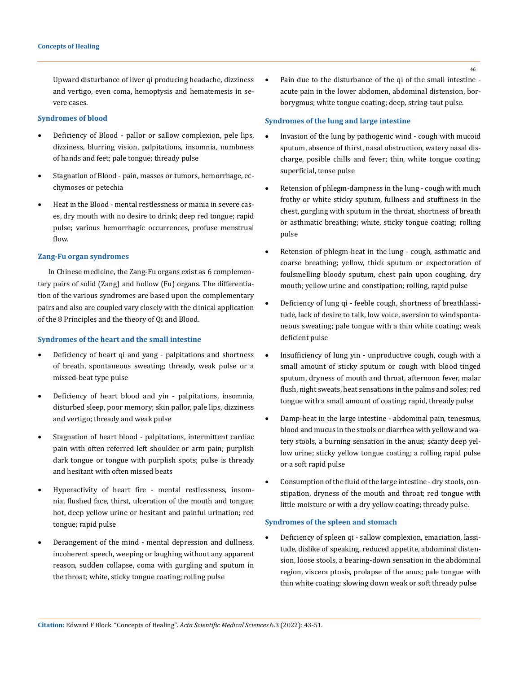Upward disturbance of liver qi producing headache, dizziness and vertigo, even coma, hemoptysis and hematemesis in severe cases.

#### **Syndromes of blood**

- Deficiency of Blood pallor or sallow complexion, pele lips, dizziness, blurring vision, palpitations, insomnia, numbness of hands and feet; pale tongue; thready pulse
- Stagnation of Blood pain, masses or tumors, hemorrhage, ecchymoses or petechia
- Heat in the Blood mental restlessness or mania in severe cases, dry mouth with no desire to drink; deep red tongue; rapid pulse; various hemorrhagic occurrences, profuse menstrual flow.

# **Zang-Fu organ syndromes**

In Chinese medicine, the Zang-Fu organs exist as 6 complementary pairs of solid (Zang) and hollow (Fu) organs. The differentiation of the various syndromes are based upon the complementary pairs and also are coupled vary closely with the clinical application of the 8 Principles and the theory of Qi and Blood.

# **Syndromes of the heart and the small intestine**

- • Deficiency of heart qi and yang palpitations and shortness of breath, spontaneous sweating; thready, weak pulse or a missed-beat type pulse
- • Deficiency of heart blood and yin palpitations, insomnia, disturbed sleep, poor memory; skin pallor, pale lips, dizziness and vertigo; thready and weak pulse
- Stagnation of heart blood palpitations, intermittent cardiac pain with often referred left shoulder or arm pain; purplish dark tongue or tongue with purplish spots; pulse is thready and hesitant with often missed beats
- • Hyperactivity of heart fire mental restlessness, insomnia, flushed face, thirst, ulceration of the mouth and tongue; hot, deep yellow urine or hesitant and painful urination; red tongue; rapid pulse
- • Derangement of the mind mental depression and dullness, incoherent speech, weeping or laughing without any apparent reason, sudden collapse, coma with gurgling and sputum in the throat; white, sticky tongue coating; rolling pulse

Pain due to the disturbance of the qi of the small intestine acute pain in the lower abdomen, abdominal distension, borborygmus; white tongue coating; deep, string-taut pulse.

## **Syndromes of the lung and large intestine**

- Invasion of the lung by pathogenic wind cough with mucoid sputum, absence of thirst, nasal obstruction, watery nasal discharge, posible chills and fever; thin, white tongue coating; superficial, tense pulse
- Retension of phlegm-dampness in the lung cough with much frothy or white sticky sputum, fullness and stuffiness in the chest, gurgling with sputum in the throat, shortness of breath or asthmatic breathing; white, sticky tongue coating; rolling pulse
- Retension of phlegm-heat in the lung cough, asthmatic and coarse breathing; yellow, thick sputum or expectoration of foulsmelling bloody sputum, chest pain upon coughing, dry mouth; yellow urine and constipation; rolling, rapid pulse
- Deficiency of lung qi feeble cough, shortness of breathlassitude, lack of desire to talk, low voice, aversion to windspontaneous sweating; pale tongue with a thin white coating; weak deficient pulse
- Insufficiency of lung yin unproductive cough, cough with a small amount of sticky sputum or cough with blood tinged sputum, dryness of mouth and throat, afternoon fever, malar flush, night sweats, heat sensations in the palms and soles; red tongue with a small amount of coating; rapid, thready pulse
- Damp-heat in the large intestine abdominal pain, tenesmus, blood and mucus in the stools or diarrhea with yellow and watery stools, a burning sensation in the anus; scanty deep yellow urine; sticky yellow tongue coating; a rolling rapid pulse or a soft rapid pulse
- Consumption of the fluid of the large intestine dry stools, constipation, dryness of the mouth and throat; red tongue with little moisture or with a dry yellow coating; thready pulse.

#### **Syndromes of the spleen and stomach**

Deficiency of spleen qi - sallow complexion, emaciation, lassitude, dislike of speaking, reduced appetite, abdominal distension, loose stools, a bearing-down sensation in the abdominal region, viscera ptosis, prolapse of the anus; pale tongue with thin white coating; slowing down weak or soft thready pulse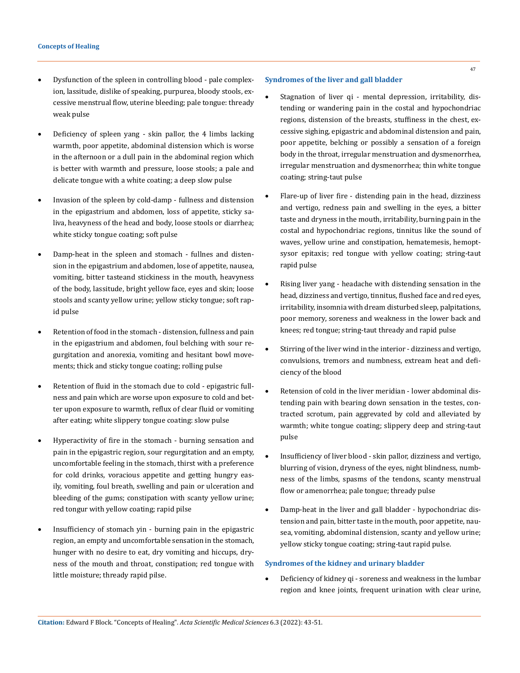- Dysfunction of the spleen in controlling blood pale complexion, lassitude, dislike of speaking, purpurea, bloody stools, excessive menstrual flow, uterine bleeding; pale tongue: thready weak pulse
- Deficiency of spleen yang skin pallor, the 4 limbs lacking warmth, poor appetite, abdominal distension which is worse in the afternoon or a dull pain in the abdominal region which is better with warmth and pressure, loose stools; a pale and delicate tongue with a white coating; a deep slow pulse
- Invasion of the spleen by cold-damp fullness and distension in the epigastrium and abdomen, loss of appetite, sticky saliva, heavyness of the head and body, loose stools or diarrhea; white sticky tongue coating; soft pulse
- Damp-heat in the spleen and stomach fullnes and distension in the epigastrium and abdomen, lose of appetite, nausea, vomiting, bitter tasteand stickiness in the mouth, heavyness of the body, lassitude, bright yellow face, eyes and skin; loose stools and scanty yellow urine; yellow sticky tongue; soft rapid pulse
- Retention of food in the stomach distension, fullness and pain in the epigastrium and abdomen, foul belching with sour regurgitation and anorexia, vomiting and hesitant bowl movements; thick and sticky tongue coating; rolling pulse
- Retention of fluid in the stomach due to cold epigastric fullness and pain which are worse upon exposure to cold and better upon exposure to warmth, reflux of clear fluid or vomiting after eating; white slippery tongue coating: slow pulse
- • Hyperactivity of fire in the stomach burning sensation and pain in the epigastric region, sour regurgitation and an empty, uncomfortable feeling in the stomach, thirst with a preference for cold drinks, voracious appetite and getting hungry easily, vomiting, foul breath, swelling and pain or ulceration and bleeding of the gums; constipation with scanty yellow urine; red tongur with yellow coating; rapid pilse
- Insufficiency of stomach yin burning pain in the epigastric region, an empty and uncomfortable sensation in the stomach, hunger with no desire to eat, dry vomiting and hiccups, dryness of the mouth and throat, constipation; red tongue with little moisture; thready rapid pilse.

## **Syndromes of the liver and gall bladder**

- Stagnation of liver qi mental depression, irritability, distending or wandering pain in the costal and hypochondriac regions, distension of the breasts, stuffiness in the chest, excessive sighing, epigastric and abdominal distension and pain, poor appetite, belching or possibly a sensation of a foreign body in the throat, irregular menstruation and dysmenorrhea, irregular menstruation and dysmenorrhea; thin white tongue coating; string-taut pulse
- Flare-up of liver fire distending pain in the head, dizziness and vertigo, redness pain and swelling in the eyes, a bitter taste and dryness in the mouth, irritability, burning pain in the costal and hypochondriac regions, tinnitus like the sound of waves, yellow urine and constipation, hematemesis, hemoptsysor epitaxis; red tongue with yellow coating; string-taut rapid pulse
- Rising liver yang headache with distending sensation in the head, dizziness and vertigo, tinnitus, flushed face and red eyes, irritability, insomnia with dream disturbed sleep, palpitations, poor memory, soreness and weakness in the lower back and knees; red tongue; string-taut thready and rapid pulse
- Stirring of the liver wind in the interior dizziness and vertigo, convulsions, tremors and numbness, extream heat and deficiency of the blood
- Retension of cold in the liver meridian lower abdominal distending pain with bearing down sensation in the testes, contracted scrotum, pain aggrevated by cold and alleviated by warmth; white tongue coating; slippery deep and string-taut pulse
- Insufficiency of liver blood skin pallor, dizziness and vertigo, blurring of vision, dryness of the eyes, night blindness, numbness of the limbs, spasms of the tendons, scanty menstrual flow or amenorrhea; pale tongue; thready pulse
- Damp-heat in the liver and gall bladder hypochondriac distension and pain, bitter taste in the mouth, poor appetite, nausea, vomiting, abdominal distension, scanty and yellow urine; yellow sticky tongue coating; string-taut rapid pulse.

# **Syndromes of the kidney and urinary bladder**

• Deficiency of kidney qi - soreness and weakness in the lumbar region and knee joints, frequent urination with clear urine,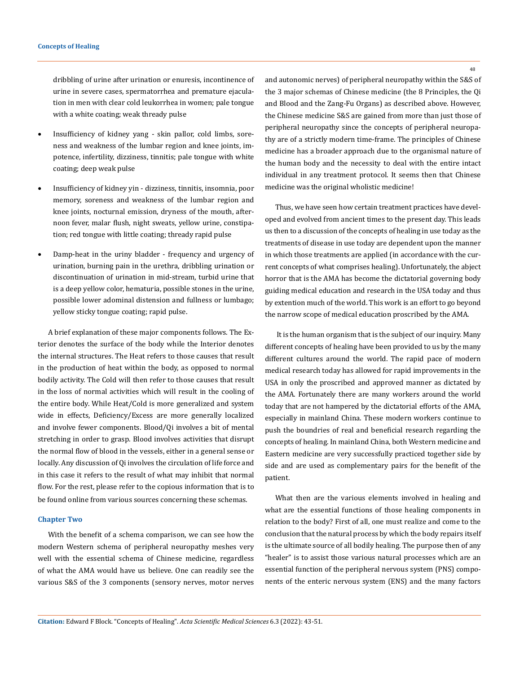dribbling of urine after urination or enuresis, incontinence of urine in severe cases, spermatorrhea and premature ejaculation in men with clear cold leukorrhea in women; pale tongue with a white coating; weak thready pulse

- Insufficiency of kidney yang skin pallor, cold limbs, soreness and weakness of the lumbar region and knee joints, impotence, infertility, dizziness, tinnitis; pale tongue with white coating; deep weak pulse
- Insufficiency of kidney yin dizziness, tinnitis, insomnia, poor memory, soreness and weakness of the lumbar region and knee joints, nocturnal emission, dryness of the mouth, afternoon fever, malar flush, night sweats, yellow urine, constipation; red tongue with little coating; thready rapid pulse
- Damp-heat in the uriny bladder frequency and urgency of urination, burning pain in the urethra, dribbling urination or discontinuation of urination in mid-stream, turbid urine that is a deep yellow color, hematuria, possible stones in the urine, possible lower adominal distension and fullness or lumbago; yellow sticky tongue coating; rapid pulse.

A brief explanation of these major components follows. The Exterior denotes the surface of the body while the Interior denotes the internal structures. The Heat refers to those causes that result in the production of heat within the body, as opposed to normal bodily activity. The Cold will then refer to those causes that result in the loss of normal activities which will result in the cooling of the entire body. While Heat/Cold is more generalized and system wide in effects, Deficiency/Excess are more generally localized and involve fewer components. Blood/Qi involves a bit of mental stretching in order to grasp. Blood involves activities that disrupt the normal flow of blood in the vessels, either in a general sense or locally. Any discussion of Qi involves the circulation of life force and in this case it refers to the result of what may inhibit that normal flow. For the rest, please refer to the copious information that is to be found online from various sources concerning these schemas.

### **Chapter Two**

With the benefit of a schema comparison, we can see how the modern Western schema of peripheral neuropathy meshes very well with the essential schema of Chinese medicine, regardless of what the AMA would have us believe. One can readily see the various S&S of the 3 components (sensory nerves, motor nerves 48

and autonomic nerves) of peripheral neuropathy within the S&S of the 3 major schemas of Chinese medicine (the 8 Principles, the Qi and Blood and the Zang-Fu Organs) as described above. However, the Chinese medicine S&S are gained from more than just those of peripheral neuropathy since the concepts of peripheral neuropathy are of a strictly modern time-frame. The principles of Chinese medicine has a broader approach due to the organismal nature of the human body and the necessity to deal with the entire intact individual in any treatment protocol. It seems then that Chinese medicine was the original wholistic medicine!

Thus, we have seen how certain treatment practices have developed and evolved from ancient times to the present day. This leads us then to a discussion of the concepts of healing in use today as the treatments of disease in use today are dependent upon the manner in which those treatments are applied (in accordance with the current concepts of what comprises healing). Unfortunately, the abject horror that is the AMA has become the dictatorial governing body guiding medical education and research in the USA today and thus by extention much of the world. This work is an effort to go beyond the narrow scope of medical education proscribed by the AMA.

 It is the human organism that is the subject of our inquiry. Many different concepts of healing have been provided to us by the many different cultures around the world. The rapid pace of modern medical research today has allowed for rapid improvements in the USA in only the proscribed and approved manner as dictated by the AMA. Fortunately there are many workers around the world today that are not hampered by the dictatorial efforts of the AMA, especially in mainland China. These modern workers continue to push the boundries of real and beneficial research regarding the concepts of healing. In mainland China, both Western medicine and Eastern medicine are very successfully practiced together side by side and are used as complementary pairs for the benefit of the patient.

What then are the various elements involved in healing and what are the essential functions of those healing components in relation to the body? First of all, one must realize and come to the conclusion that the natural process by which the body repairs itself is the ultimate source of all bodily healing. The purpose then of any "healer" is to assist those various natural processes which are an essential function of the peripheral nervous system (PNS) components of the enteric nervous system (ENS) and the many factors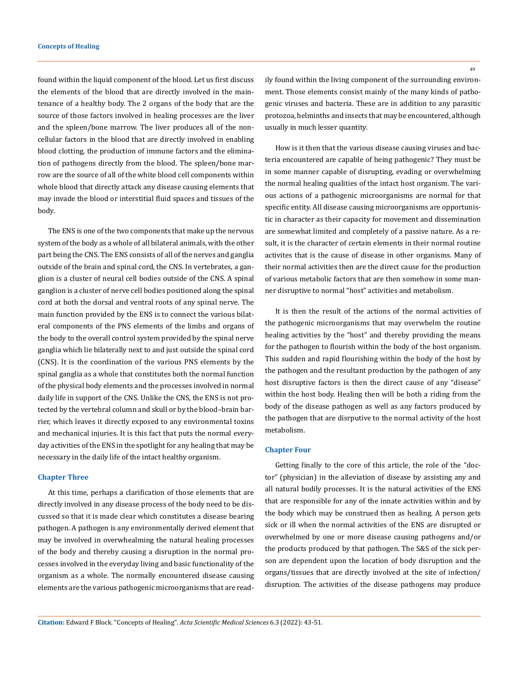found within the liquid component of the blood. Let us first discuss the elements of the blood that are directly involved in the maintenance of a healthy body. The 2 organs of the body that are the source of those factors involved in healing processes are the liver and the spleen/bone marrow. The liver produces all of the noncellular factors in the blood that are directly involved in enabling blood clotting, the production of immune factors and the elimination of pathogens directly from the blood. The spleen/bone marrow are the source of all of the white blood cell components within whole blood that directly attack any disease causing elements that may invade the blood or interstitial fluid spaces and tissues of the body.

The ENS is one of the two components that make up the nervous system of the body as a whole of all bilateral animals, with the other part being the CNS. The ENS consists of all of the nerves and ganglia outside of the brain and spinal cord, the CNS. In vertebrates, a ganglion is a cluster of neural cell bodies outside of the CNS. A spinal ganglion is a cluster of nerve cell bodies positioned along the spinal cord at both the dorsal and ventral roots of any spinal nerve. The main function provided by the ENS is to connect the various bilateral components of the PNS elements of the limbs and organs of the body to the overall control system provided by the spinal nerve ganglia which lie bilaterally next to and just outside the spinal cord (CNS). It is the coordination of the various PNS elements by the spinal ganglia as a whole that constitutes both the normal function of the physical body elements and the processes involved in normal daily life in support of the CNS. Unlike the CNS, the ENS is not protected by the vertebral column and skull or by the blood–brain barrier, which leaves it directly exposed to any environmental toxins and mechanical injuries. It is this fact that puts the normal everyday activities of the ENS in the spotlight for any healing that may be necessary in the daily life of the intact healthy organism.

#### **Chapter Three**

At this time, perhaps a clarification of those elements that are directly involved in any disease process of the body need to be discussed so that it is made clear which constitutes a disease bearing pathogen. A pathogen is any environmentally derived element that may be involved in overwhealming the natural healing processes of the body and thereby causing a disruption in the normal processes involved in the everyday living and basic functionality of the organism as a whole. The normally encountered disease causing elements are the various pathogenic microorganisms that are read49

ily found within the living component of the surrounding environment. Those elements consist mainly of the many kinds of pathogenic viruses and bacteria. These are in addition to any parasitic protozoa, helminths and insects that may be encountered, although usually in much lesser quantity.

How is it then that the various disease causing viruses and bacteria encountered are capable of being pathogenic? They must be in some manner capable of disrupting, evading or overwhelming the normal healing qualities of the intact host organism. The various actions of a pathogenic microorganisms are normal for that specific entity. All disease causing microorganisms are opportunistic in character as their capacity for movement and dissemination are somewhat limited and completely of a passive nature. As a result, it is the character of certain elements in their normal routine activites that is the cause of disease in other organisms. Many of their normal activities then are the direct cause for the production of various metabolic factors that are then somehow in some manner disruptive to normal "host" activities and metabolism.

It is then the result of the actions of the normal activities of the pathogenic microorganisms that may overwhelm the routine healing activities by the "host" and thereby providing the means for the pathogen to flourish within the body of the host organism. This sudden and rapid flourishing within the body of the host by the pathogen and the resultant production by the pathogen of any host disruptive factors is then the direct cause of any "disease" within the host body. Healing then will be both a riding from the body of the disease pathogen as well as any factors produced by the pathogen that are disrputive to the normal activity of the host metabolism.

#### **Chapter Four**

Getting finally to the core of this article, the role of the "doctor" (physician) in the alleviation of disease by assisting any and all natural bodily processes. It is the natural activities of the ENS that are responsible for any of the innate activities within and by the body which may be construed then as healing. A person gets sick or ill when the normal activities of the ENS are disrupted or overwhelmed by one or more disease causing pathogens and/or the products produced by that pathogen. The S&S of the sick person are dependent upon the location of body disruption and the organs/tissues that are directly involved at the site of infection/ disruption. The activities of the disease pathogens may produce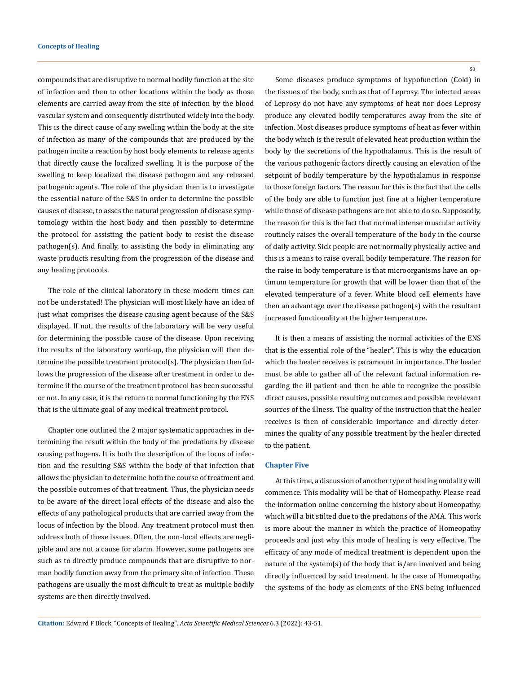compounds that are disruptive to normal bodily function at the site of infection and then to other locations within the body as those elements are carried away from the site of infection by the blood vascular system and consequently distributed widely into the body. This is the direct cause of any swelling within the body at the site of infection as many of the compounds that are produced by the pathogen incite a reaction by host body elements to release agents that directly cause the localized swelling. It is the purpose of the swelling to keep localized the disease pathogen and any released pathogenic agents. The role of the physician then is to investigate the essential nature of the S&S in order to determine the possible causes of disease, to asses the natural progression of disease symptomology within the host body and then possibly to determine the protocol for assisting the patient body to resist the disease pathogen(s). And finally, to assisting the body in eliminating any waste products resulting from the progression of the disease and any healing protocols.

The role of the clinical laboratory in these modern times can not be understated! The physician will most likely have an idea of just what comprises the disease causing agent because of the S&S displayed. If not, the results of the laboratory will be very useful for determining the possible cause of the disease. Upon receiving the results of the laboratory work-up, the physician will then determine the possible treatment protocol(s). The physician then follows the progression of the disease after treatment in order to determine if the course of the treatment protocol has been successful or not. In any case, it is the return to normal functioning by the ENS that is the ultimate goal of any medical treatment protocol.

Chapter one outlined the 2 major systematic approaches in determining the result within the body of the predations by disease causing pathogens. It is both the description of the locus of infection and the resulting S&S within the body of that infection that allows the physician to determine both the course of treatment and the possible outcomes of that treatment. Thus, the physician needs to be aware of the direct local effects of the disease and also the effects of any pathological products that are carried away from the locus of infection by the blood. Any treatment protocol must then address both of these issues. Often, the non-local effects are negligible and are not a cause for alarm. However, some pathogens are such as to directly produce compounds that are disruptive to norman bodily function away from the primary site of infection. These pathogens are usually the most difficult to treat as multiple bodily systems are then directly involved.

50

Some diseases produce symptoms of hypofunction (Cold) in the tissues of the body, such as that of Leprosy. The infected areas of Leprosy do not have any symptoms of heat nor does Leprosy produce any elevated bodily temperatures away from the site of infection. Most diseases produce symptoms of heat as fever within the body which is the result of elevated heat production within the body by the secretions of the hypothalamus. This is the result of the various pathogenic factors directly causing an elevation of the setpoint of bodily temperature by the hypothalamus in response to those foreign factors. The reason for this is the fact that the cells of the body are able to function just fine at a higher temperature while those of disease pathogens are not able to do so. Supposedly, the reason for this is the fact that normal intense muscular activity routinely raises the overall temperature of the body in the course of daily activity. Sick people are not normally physically active and this is a means to raise overall bodily temperature. The reason for the raise in body temperature is that microorganisms have an optimum temperature for growth that will be lower than that of the elevated temperature of a fever. White blood cell elements have then an advantage over the disease pathogen(s) with the resultant increased functionality at the higher temperature.

It is then a means of assisting the normal activities of the ENS that is the essential role of the "healer". This is why the education which the healer receives is paramount in importance. The healer must be able to gather all of the relevant factual information regarding the ill patient and then be able to recognize the possible direct causes, possible resulting outcomes and possible revelevant sources of the illness. The quality of the instruction that the healer receives is then of considerable importance and directly determines the quality of any possible treatment by the healer directed to the patient.

#### **Chapter Five**

At this time, a discussion of another type of healing modality will commence. This modality will be that of Homeopathy. Please read the information online concerning the history about Homeopathy, which will a bit stilted due to the predations of the AMA. This work is more about the manner in which the practice of Homeopathy proceeds and just why this mode of healing is very effective. The efficacy of any mode of medical treatment is dependent upon the nature of the system(s) of the body that is/are involved and being directly influenced by said treatment. In the case of Homeopathy, the systems of the body as elements of the ENS being influenced

**Citation:** Edward F Block*.* "Concepts of Healing". *Acta Scientific Medical Sciences* 6.3 (2022): 43-51.